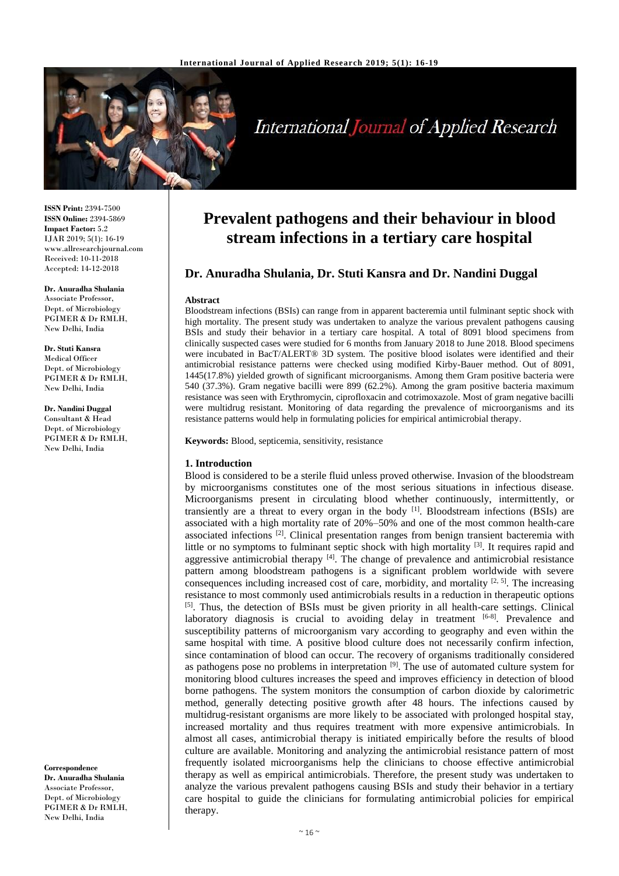

# **International Journal of Applied Research**

**ISSN Print:** 2394-7500 **ISSN Online:** 2394-5869 **Impact Factor:** 5.2 IJAR 2019; 5(1): 16-19 www.allresearchjournal.com Received: 10-11-2018 Accepted: 14-12-2018

**Dr. Anuradha Shulania** Associate Professor, Dept. of Microbiology PGIMER & Dr RMLH, New Delhi, India

**Dr. Stuti Kansra** Medical Officer Dept. of Microbiology PGIMER & Dr RMLH, New Delhi, India

**Dr. Nandini Duggal** Consultant & Head Dept. of Microbiology PGIMER & Dr RMLH, New Delhi, India

**Correspondence Dr. Anuradha Shulania** Associate Professor, Dept. of Microbiology PGIMER & Dr RMLH, New Delhi, India

# **Prevalent pathogens and their behaviour in blood stream infections in a tertiary care hospital**

## **Dr. Anuradha Shulania, Dr. Stuti Kansra and Dr. Nandini Duggal**

#### **Abstract**

Bloodstream infections (BSIs) can range from in apparent bacteremia until fulminant septic shock with high mortality. The present study was undertaken to analyze the various prevalent pathogens causing BSIs and study their behavior in a tertiary care hospital. A total of 8091 blood specimens from clinically suspected cases were studied for 6 months from January 2018 to June 2018. Blood specimens were incubated in BacT/ALERT® 3D system. The positive blood isolates were identified and their antimicrobial resistance patterns were checked using modified Kirby-Bauer method. Out of 8091, 1445(17.8%) yielded growth of significant microorganisms. Among them Gram positive bacteria were 540 (37.3%). Gram negative bacilli were 899 (62.2%). Among the gram positive bacteria maximum resistance was seen with Erythromycin, ciprofloxacin and cotrimoxazole. Most of gram negative bacilli were multidrug resistant. Monitoring of data regarding the prevalence of microorganisms and its resistance patterns would help in formulating policies for empirical antimicrobial therapy.

**Keywords:** Blood, septicemia, sensitivity, resistance

#### **1. Introduction**

Blood is considered to be a sterile fluid unless proved otherwise. Invasion of the bloodstream by microorganisms constitutes one of the most serious situations in infectious disease. Microorganisms present in circulating blood whether continuously, intermittently, or transiently are a threat to every organ in the body  $[1]$ . Bloodstream infections (BSIs) are associated with a high mortality rate of 20%–50% and one of the most common health-care associated infections<sup>[2]</sup>. Clinical presentation ranges from benign transient bacteremia with little or no symptoms to fulminant septic shock with high mortality <sup>[3]</sup>. It requires rapid and aggressive antimicrobial therapy  $[4]$ . The change of prevalence and antimicrobial resistance pattern among bloodstream pathogens is a significant problem worldwide with severe consequences including increased cost of care, morbidity, and mortality  $[2, 5]$ . The increasing resistance to most commonly used antimicrobials results in a reduction in therapeutic options [5]. Thus, the detection of BSIs must be given priority in all health-care settings. Clinical laboratory diagnosis is crucial to avoiding delay in treatment  $[6-8]$ . Prevalence and susceptibility patterns of microorganism vary according to geography and even within the same hospital with time. A positive blood culture does not necessarily confirm infection, since contamination of blood can occur. The recovery of organisms traditionally considered as pathogens pose no problems in interpretation  $[9]$ . The use of automated culture system for monitoring blood cultures increases the speed and improves efficiency in detection of blood borne pathogens. The system monitors the consumption of carbon dioxide by calorimetric method, generally detecting positive growth after 48 hours. The infections caused by multidrug-resistant organisms are more likely to be associated with prolonged hospital stay, increased mortality and thus requires treatment with more expensive antimicrobials. In almost all cases, antimicrobial therapy is initiated empirically before the results of blood culture are available. Monitoring and analyzing the antimicrobial resistance pattern of most frequently isolated microorganisms help the clinicians to choose effective antimicrobial therapy as well as empirical antimicrobials. Therefore, the present study was undertaken to analyze the various prevalent pathogens causing BSIs and study their behavior in a tertiary care hospital to guide the clinicians for formulating antimicrobial policies for empirical therapy.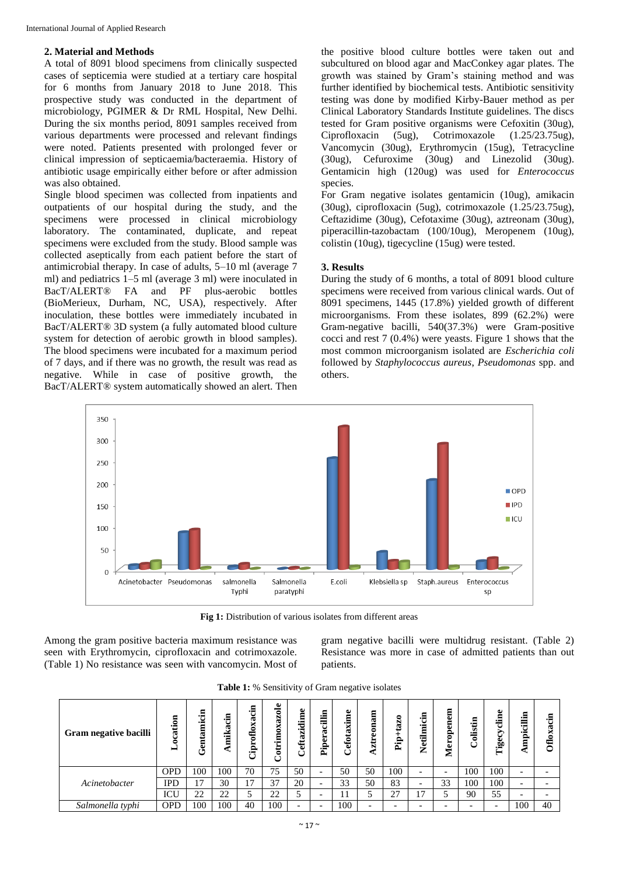#### **2. Material and Methods**

A total of 8091 blood specimens from clinically suspected cases of septicemia were studied at a tertiary care hospital for 6 months from January 2018 to June 2018. This prospective study was conducted in the department of microbiology, PGIMER & Dr RML Hospital, New Delhi. During the six months period, 8091 samples received from various departments were processed and relevant findings were noted. Patients presented with prolonged fever or clinical impression of septicaemia/bacteraemia. History of antibiotic usage empirically either before or after admission was also obtained.

Single blood specimen was collected from inpatients and outpatients of our hospital during the study, and the specimens were processed in clinical microbiology laboratory. The contaminated, duplicate, and repeat specimens were excluded from the study. Blood sample was collected aseptically from each patient before the start of antimicrobial therapy. In case of adults, 5–10 ml (average 7 ml) and pediatrics 1–5 ml (average 3 ml) were inoculated in BacT/ALERT® FA and PF plus-aerobic bottles (BioMerieux, Durham, NC, USA), respectively. After inoculation, these bottles were immediately incubated in BacT/ALERT® 3D system (a fully automated blood culture system for detection of aerobic growth in blood samples). The blood specimens were incubated for a maximum period of 7 days, and if there was no growth, the result was read as negative. While in case of positive growth, the BacT/ALERT® system automatically showed an alert. Then

the positive blood culture bottles were taken out and subcultured on blood agar and MacConkey agar plates. The growth was stained by Gram's staining method and was further identified by biochemical tests. Antibiotic sensitivity testing was done by modified Kirby-Bauer method as per Clinical Laboratory Standards Institute guidelines. The discs tested for Gram positive organisms were Cefoxitin (30ug), Ciprofloxacin (5ug), Cotrimoxazole (1.25/23.75ug), Vancomycin (30ug), Erythromycin (15ug), Tetracycline (30ug), Cefuroxime (30ug) and Linezolid (30ug). Gentamicin high (120ug) was used for *Enterococcus* species.

For Gram negative isolates gentamicin (10ug), amikacin (30ug), ciprofloxacin (5ug), cotrimoxazole (1.25/23.75ug), Ceftazidime (30ug), Cefotaxime (30ug), aztreonam (30ug), piperacillin-tazobactam (100/10ug), Meropenem (10ug), colistin (10ug), tigecycline (15ug) were tested.

#### **3. Results**

During the study of 6 months, a total of 8091 blood culture specimens were received from various clinical wards. Out of 8091 specimens, 1445 (17.8%) yielded growth of different microorganisms. From these isolates, 899 (62.2%) were Gram-negative bacilli, 540(37.3%) were Gram-positive cocci and rest 7 (0.4%) were yeasts. Figure 1 shows that the most common microorganism isolated are *Escherichia coli* followed by *Staphylococcus aureus*, *Pseudomonas* spp. and others.



**Fig 1:** Distribution of various isolates from different areas

Among the gram positive bacteria maximum resistance was seen with Erythromycin, ciprofloxacin and cotrimoxazole. (Table 1) No resistance was seen with vancomycin. Most of gram negative bacilli were multidrug resistant. (Table 2) Resistance was more in case of admitted patients than out patients.

| Gram negative bacilli | tion<br>ಡ<br>c<br>− | ٠.<br>$\cdot$ | -a<br>ā<br>mika | .a<br>ದ<br>×<br>Ciproflo | Cotrimoxazole | Φ<br>zidim<br>efta<br>ت  | cillin<br>ā<br>5<br>È | $\bullet$<br>富<br>×<br>α<br>efot | 目<br>ಡ<br>Ë<br>ztre      | $+tan 20$<br>È           | vetilmicin<br>▱          | Meropenem                | olistin<br>ت             | Φ<br>È<br>Tigecy | 旨<br>킁<br>٦Ē.<br>Ξ | Е<br>٠u<br>ದ<br><b>Oflox</b> |
|-----------------------|---------------------|---------------|-----------------|--------------------------|---------------|--------------------------|-----------------------|----------------------------------|--------------------------|--------------------------|--------------------------|--------------------------|--------------------------|------------------|--------------------|------------------------------|
|                       | <b>OPD</b>          | 100           | 100             | 70                       | 75            | 50                       |                       | 50                               | 50                       | 100                      | $\overline{\phantom{0}}$ | $\overline{\phantom{0}}$ | 100                      | 100              | -                  |                              |
| Acinetobacter         | <b>IPD</b>          | 17<br>.,      | 30              | 17                       | 37            | 20                       |                       | 33                               | 50                       | 83                       | $\overline{\phantom{0}}$ | 33                       | 100                      | 100              | -                  |                              |
|                       | ICU                 | 22            | 22              |                          | 22            | 5                        | -                     | 11                               |                          | 27                       | 7                        |                          | 90                       | 55               | -                  |                              |
| Salmonella typhi      | <b>OPD</b>          | 100           | 100             | 40                       | 100           | $\overline{\phantom{0}}$ |                       | 100                              | $\overline{\phantom{0}}$ | $\overline{\phantom{0}}$ |                          | $\overline{\phantom{0}}$ | $\overline{\phantom{0}}$ |                  | 100                | 40                           |

Table 1: % Sensitivity of Gram negative isolates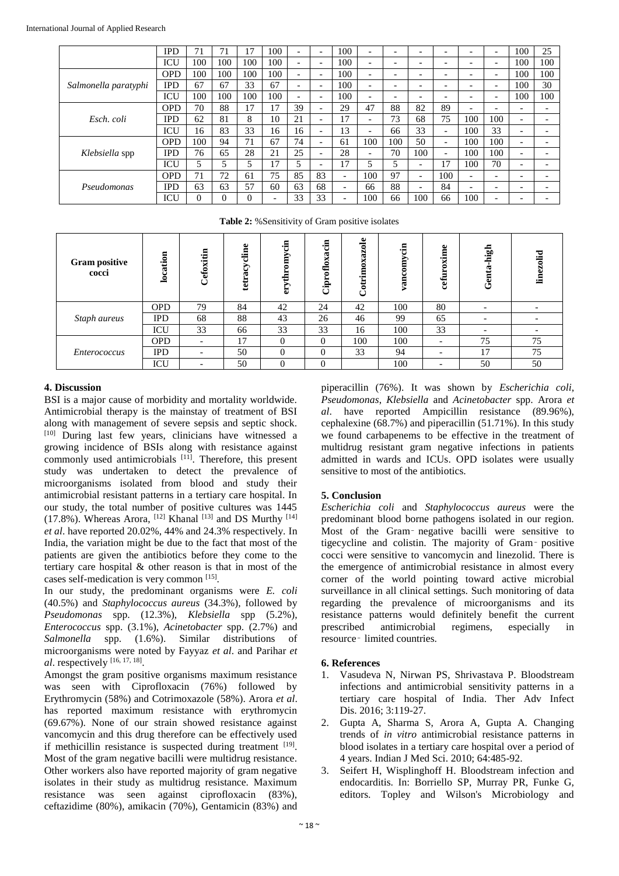|                      | IPD        | 71  | 7   | 17       | 100                      |                          | $\overline{\phantom{0}}$ | 100                      | $\overline{\phantom{0}}$ | $\overline{\phantom{0}}$ | -                        |                          | -                        | $\overline{\phantom{0}}$ | 100                      | 25                       |
|----------------------|------------|-----|-----|----------|--------------------------|--------------------------|--------------------------|--------------------------|--------------------------|--------------------------|--------------------------|--------------------------|--------------------------|--------------------------|--------------------------|--------------------------|
|                      | ICU        | 100 | 100 | 100      | 100                      | -                        | $\overline{\phantom{0}}$ | 100                      | $\overline{\phantom{0}}$ | $\overline{\phantom{0}}$ | $\overline{\phantom{0}}$ | $\overline{\phantom{0}}$ | $\overline{\phantom{0}}$ | $\overline{\phantom{0}}$ | 100                      | 100                      |
| Salmonella paratyphi | <b>OPD</b> | 100 | 100 | 100      | 100                      | $\overline{\phantom{0}}$ | $\overline{\phantom{0}}$ | 100                      | $\overline{\phantom{0}}$ | $\overline{\phantom{0}}$ | $\overline{\phantom{0}}$ | $\overline{\phantom{0}}$ | $\overline{\phantom{0}}$ | $\overline{\phantom{0}}$ | 100                      | 100                      |
|                      | <b>IPD</b> | 67  | 67  | 33       | 67                       | -                        | $\overline{\phantom{0}}$ | 100                      | $\overline{\phantom{0}}$ | -                        | -                        |                          | -                        | $\overline{\phantom{0}}$ | 100                      | 30                       |
|                      | ICU        | 100 | 100 | 100      | 100                      |                          | $\overline{\phantom{0}}$ | 100                      | -                        | $\overline{\phantom{0}}$ | -                        | $\overline{\phantom{0}}$ | $\overline{\phantom{0}}$ | $\overline{\phantom{0}}$ | 100                      | 100                      |
| Esch. coli           | <b>OPD</b> | 70  | 88  | 17       | 17                       | 39                       | $\overline{\phantom{0}}$ | 29                       | 47                       | 88                       | 82                       | 89                       | -                        | $\overline{\phantom{0}}$ | -                        |                          |
|                      | <b>IPD</b> | 62  | 81  | 8        | 10                       | 21                       | $\overline{\phantom{0}}$ | 17                       | ۰                        | 73                       | 68                       | 75                       | 100                      | 100                      | $\overline{\phantom{0}}$ | $\overline{\phantom{0}}$ |
|                      | ICU        | 16  | 83  | 33       | 16                       | 16                       | $\overline{\phantom{0}}$ | 13                       | $\overline{\phantom{0}}$ | 66                       | 33                       | $\overline{\phantom{0}}$ | 100                      | 33                       | $\overline{\phantom{0}}$ |                          |
|                      | <b>OPD</b> | 100 | 94  | 71       | 67                       | 74                       | $\overline{\phantom{0}}$ | 61                       | 100                      | 100                      | 50                       | -                        | 100                      | 100                      | $\overline{\phantom{0}}$ |                          |
| Klebsiella spp       | IPD        | 76  | 65  | 28       | 21                       | 25                       | $\overline{\phantom{0}}$ | 28                       | -                        | 70                       | 100                      | -                        | 100                      | 100                      | -                        |                          |
|                      | ICU        |     | 5   | 5        | 17                       | 5                        | $\overline{\phantom{0}}$ | 17                       | 5                        | 5                        | -                        | 17                       | 100                      | 70                       | $\overline{\phantom{0}}$ | $\overline{\phantom{0}}$ |
| Pseudomonas          | <b>OPD</b> | 71  | 72  | 61       | 75                       | 85                       | 83                       | $\overline{\phantom{0}}$ | 100                      | 97                       | -                        | 100                      | -                        | $\overline{\phantom{0}}$ | -                        |                          |
|                      | IPD        | 63  | 63  | 57       | 60                       | 63                       | 68                       | $\overline{\phantom{0}}$ | 66                       | 88                       | $\overline{\phantom{0}}$ | 84                       | -                        | $\overline{\phantom{0}}$ | -                        | $\overline{\phantom{0}}$ |
|                      | ICU        | 0   | 0   | $\theta$ | $\overline{\phantom{0}}$ | 33                       | 33                       | -                        | 100                      | 66                       | 100                      | 66                       | 100                      | $\overline{\phantom{0}}$ | -                        |                          |

**Table 2:** %Sensitivity of Gram positive isolates

| <b>Gram</b> positive<br>cocci | location   | Cefoxitin                | $\bullet$<br>tetracyclin | ا£∙<br>ŏmo<br>erythr | acin<br>oflox<br>Cipro | $\bullet$<br>ತ<br>ದ<br> | -a<br>yan | xime<br>cefui            | high<br>$G$ enta | $\ddot{a}$<br>۵Ê |
|-------------------------------|------------|--------------------------|--------------------------|----------------------|------------------------|-------------------------|-----------|--------------------------|------------------|------------------|
|                               | <b>OPD</b> | 79                       | 84                       | 42                   | 24                     | 42                      | 100       | 80                       |                  |                  |
| Staph aureus                  | <b>IPD</b> | 68                       | 88                       | 43                   | 26                     | 46                      | 99        | 65                       |                  |                  |
|                               | ICU        | 33                       | 66                       | 33                   | 33                     | 16                      | 100       | 33                       |                  |                  |
| Enterococcus                  | <b>OPD</b> | $\overline{\phantom{0}}$ | 17                       | $\Omega$             | $\Omega$               | 100                     | 100       | $\overline{\phantom{0}}$ | 75               | 75               |
|                               | <b>IPD</b> | $\overline{\phantom{0}}$ | 50                       | $\Omega$             | $\Omega$               | 33                      | 94        | $\overline{\phantom{0}}$ | 17               | 75               |
|                               | ICU        | $\overline{\phantom{0}}$ | 50                       | 0                    | $\Omega$               |                         | 100       |                          | 50               | 50               |

#### **4. Discussion**

BSI is a major cause of morbidity and mortality worldwide. Antimicrobial therapy is the mainstay of treatment of BSI along with management of severe sepsis and septic shock. [10] During last few years, clinicians have witnessed a growing incidence of BSIs along with resistance against commonly used antimicrobials <sup>[11]</sup>. Therefore, this present study was undertaken to detect the prevalence of microorganisms isolated from blood and study their antimicrobial resistant patterns in a tertiary care hospital. In our study, the total number of positive cultures was 1445 (17.8%). Whereas Arora,  $^{[12]}$  Khanal  $^{[13]}$  and DS Murthy  $^{[14]}$ *et al*. have reported 20.02%, 44% and 24.3% respectively. In India, the variation might be due to the fact that most of the patients are given the antibiotics before they come to the tertiary care hospital & other reason is that in most of the cases self-medication is very common [15].

In our study, the predominant organisms were *E. coli* (40.5%) and *Staphylococcus aureus* (34.3%), followed by *Pseudomonas* spp. (12.3%), *Klebsiella* spp (5.2%), *Enterococcus* spp. (3.1%), *Acinetobacter* spp. (2.7%) and *Salmonella* spp. (1.6%). Similar distributions of microorganisms were noted by Fayyaz *et al*. and Parihar *et al*. respectively [16, 17, 18] .

Amongst the gram positive organisms maximum resistance was seen with Ciprofloxacin (76%) followed by Erythromycin (58%) and Cotrimoxazole (58%). Arora *et al*. has reported maximum resistance with erythromycin (69.67%). None of our strain showed resistance against vancomycin and this drug therefore can be effectively used if methicillin resistance is suspected during treatment [19]. Most of the gram negative bacilli were multidrug resistance. Other workers also have reported majority of gram negative isolates in their study as multidrug resistance. Maximum resistance was seen against ciprofloxacin (83%), ceftazidime (80%), amikacin (70%), Gentamicin (83%) and

piperacillin (76%). It was shown by *Escherichia coli*, *Pseudomonas*, *Klebsiella* and *Acinetobacter* spp. Arora *et al*. have reported Ampicillin resistance (89.96%), cephalexine (68.7%) and piperacillin (51.71%). In this study we found carbapenems to be effective in the treatment of multidrug resistant gram negative infections in patients admitted in wards and ICUs. OPD isolates were usually sensitive to most of the antibiotics.

### **5. Conclusion**

*Escherichia coli* and *Staphylococcus aureus* were the predominant blood borne pathogens isolated in our region. Most of the Gram‑ negative bacilli were sensitive to tigecycline and colistin. The majority of Gram‑ positive cocci were sensitive to vancomycin and linezolid. There is the emergence of antimicrobial resistance in almost every corner of the world pointing toward active microbial surveillance in all clinical settings. Such monitoring of data regarding the prevalence of microorganisms and its resistance patterns would definitely benefit the current prescribed antimicrobial regimens, especially in resource‑ limited countries.

#### **6. References**

- 1. Vasudeva N, Nirwan PS, Shrivastava P. Bloodstream infections and antimicrobial sensitivity patterns in a tertiary care hospital of India. Ther Adv Infect Dis. 2016; 3:119-27.
- 2. Gupta A, Sharma S, Arora A, Gupta A. Changing trends of *in vitro* antimicrobial resistance patterns in blood isolates in a tertiary care hospital over a period of 4 years. Indian J Med Sci. 2010; 64:485-92.
- 3. Seifert H, Wisplinghoff H. Bloodstream infection and endocarditis. In: Borriello SP, Murray PR, Funke G, editors. Topley and Wilson's Microbiology and